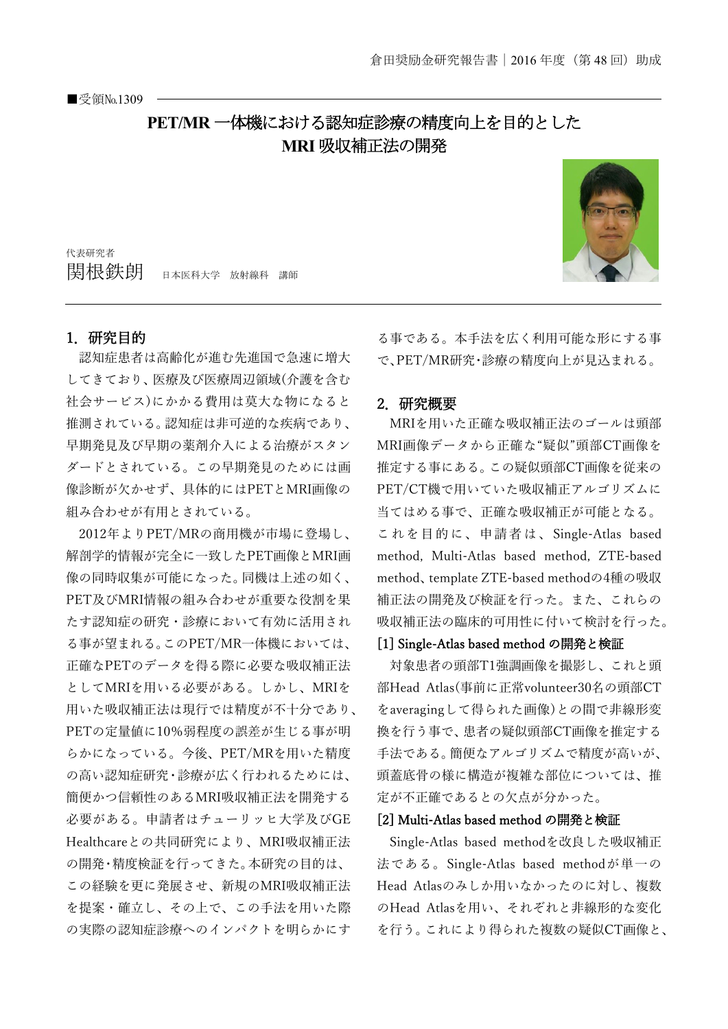# **PET/MR** 一体機における認知症診療の精度向上を目的とした **MRI** 吸収補正法の開発

代表研究者 |関根鉄朗 日本医科大学 放射線科 講師

### 1.研究目的

認知症患者は高齢化が進む先進国で急速に増大 してきており、医療及び医療周辺領域(介護を含む 社会サービス)にかかる費用は莫大な物になると 推測されている。認知症は非可逆的な疾病であり、 早期発見及び早期の薬剤介入による治療がスタン ダードとされている。この早期発見のためには画 像診断が欠かせず、具体的にはPETとMRI画像の 組み合わせが有用とされている。

2012年よりPET/MRの商用機が市場に登場し、 解剖学的情報が完全に一致したPET画像とMRI画 像の同時収集が可能になった。同機は上述の如く、 PET及びMRI情報の組み合わせが重要な役割を果 たす認知症の研究・診療において有効に活用され る事が望まれる。このPET/MR一体機においては、 正確なPETのデータを得る際に必要な吸収補正法 としてMRIを用いる必要がある。しかし、MRIを 用いた吸収補正法は現行では精度が不十分であり、 PETの定量値に10%弱程度の誤差が生じる事が明 らかになっている。今後、PET/MRを用いた精度 の高い認知症研究・診療が広く行われるためには、 簡便かつ信頼性のあるMRI吸収補正法を開発する 必要がある。申請者はチューリッヒ大学及びGE Healthcareとの共同研究により、MRI吸収補正法 の開発・精度検証を行ってきた。本研究の目的は、 この経験を更に発展させ、新規のMRI吸収補正法 を提案・確立し、その上で、この手法を用いた際 の実際の認知症診療へのインパクトを明らかにす

る事である。本手法を広く利用可能な形にする事 で、PET/MR研究・診療の精度向上が見込まれる。

### 2.研究概要

MRIを用いた正確な吸収補正法のゴールは頭部 MRI画像データから正確な"疑似"頭部CT画像を 推定する事にある。この疑似頭部CT画像を従来の PET/CT機で用いていた吸収補正アルゴリズムに 当てはめる事で、正確な吸収補正が可能となる。 これを目的に、申請者は、Single-Atlas based method, Multi-Atlas based method, ZTE-based method、template ZTE-based methodの4種の吸収 補正法の開発及び検証を行った。また、これらの 吸収補正法の臨床的可用性に付いて検討を行った。

### [1] Single-Atlas based method の開発と検証

対象患者の頭部T1強調画像を撮影し、これと頭 部Head Atlas(事前に正常volunteer30名の頭部CT をaveragingして得られた画像)との間で非線形変 換を行う事で、患者の疑似頭部CT画像を推定する 手法である。簡便なアルゴリズムで精度が高いが、 頭蓋底骨の様に構造が複雑な部位については、推 定が不正確であるとの欠点が分かった。

#### [2] Multi-Atlas based method の開発と検証

Single-Atlas based methodを改良した吸収補正 法である。Single-Atlas based methodが単一の Head Atlasのみしか用いなかったのに対し、複数 のHead Atlasを用い、それぞれと非線形的な変化 を行う。これにより得られた複数の疑似CT画像と、

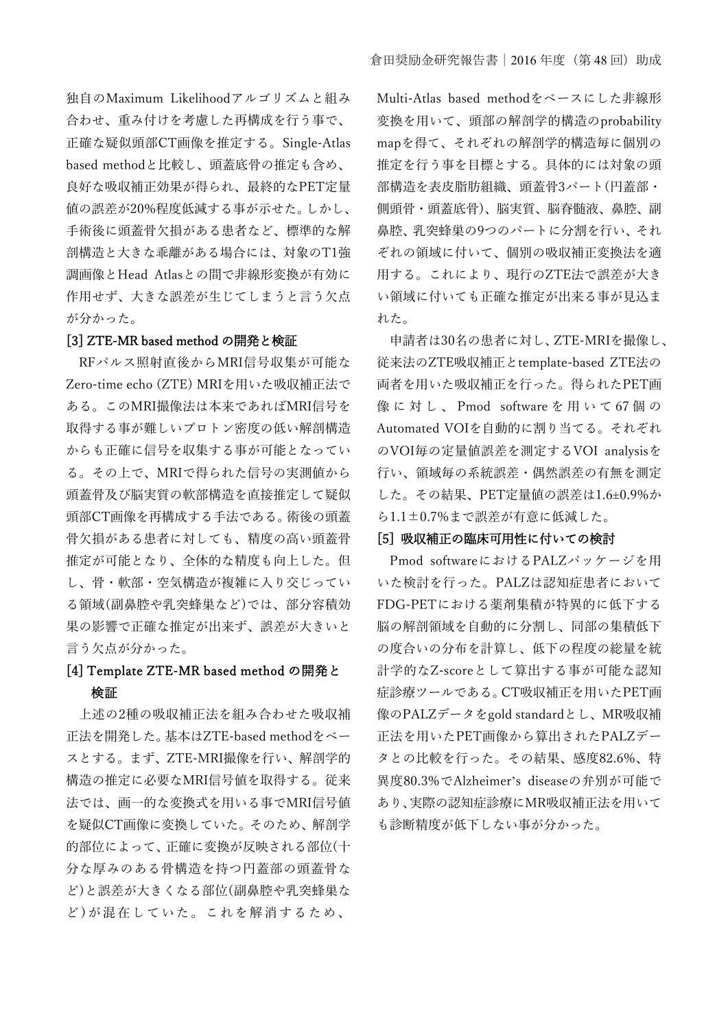独自のMaximum Likelihoodアルゴリズムと組み 合わせ、重み付けを考慮した再構成を行う事で、 正確な疑似頭部CT画像を推定する。Single-Atlas based methodと比較し、頭蓋底骨の推定も含め、 良好な吸収補正効果が得られ、最終的なPET定量 値の誤差が20%程度低減する事が示せた。しかし、 手術後に頭蓋骨欠損がある患者など、標準的な解 剖構造と大きな乖離がある場合には、対象のT1強 調画像とHead Atlasとの間で非線形変換が有効に 作用せず、大きな誤差が生じてしまうと言う欠点 が分かった。

#### [3] ZTE-MR based method の開発と検証

RFパルス照射直後からMRI信号収集が可能な Zero-time echo (ZTE) MRIを用いた吸収補正法で ある。このMRI撮像法は本来であればMRI信号を 取得する事が難しいプロトン密度の低い解剖構造 からも正確に信号を収集する事が可能となってい る。その上で、MRIで得られた信号の実測値から 頭蓋骨及び脳実質の軟部構造を直接推定して疑似 頭部CT画像を再構成する手法である。術後の頭蓋 骨欠損がある患者に対しても、精度の高い頭蓋骨 推定が可能となり、全体的な精度も向上した。但 し、骨・軟部・空気構造が複雑に入り交じってい る領域(副鼻腔や乳突蜂巣など)では、部分容積効 果の影響で正確な推定が出来ず、誤差が大きいと 言う欠点が分かった。

# [4] Template ZTE-MR based method の開発と 検証

上述の2種の吸収補正法を組み合わせた吸収補 正法を開発した。基本はZTE-based methodをベー スとする。まず、ZTE-MRI撮像を行い、解剖学的 構造の推定に必要なMRI信号値を取得する。従来 法では、画一的な変換式を用いる事でMRI信号値 を疑似CT画像に変換していた。そのため、解剖学 的部位によって、正確に変換が反映される部位(十 分な厚みのある骨構造を持つ円蓋部の頭蓋骨な ど)と誤差が大きくなる部位(副鼻腔や乳突蜂巣な ど)が混在していた。これを解消するため、

Multi-Atlas based methodをベースにした非線形 変換を用いて、頭部の解剖学的構造のprobability mapを得て、それぞれの解剖学的構造毎に個別の 推定を行う事を目標とする。具体的には対象の頭 部構造を表皮脂肪組織、頭蓋骨3パート(円蓋部・ 側頭骨・頭蓋底骨)、脳実質、脳脊髄液、鼻腔、副 鼻腔、乳突蜂巣の9つのパートに分割を行い、それ ぞれの領域に付いて、個別の吸収補正変換法を適 用する。これにより、現行のZTE法で誤差が大き い領域に付いても正確な推定が出来る事が見込ま れた。

申請者は30名の患者に対し、ZTE-MRIを撮像し、 従来法のZTE吸収補正とtemplate-based ZTE法の 両者を用いた吸収補正を行った。得られたPET画 像 に 対 し 、 Pmod software を 用 い て 67 個 の Automated VOIを自動的に割り当てる。それぞれ のVOI毎の定量値誤差を測定するVOI analysisを 行い、領域毎の系統誤差・偶然誤差の有無を測定 した。その結果、PET定量値の誤差は1.6±0.9%か ら1.1±0.7%まで誤差が有意に低減した。

### [5] 吸収補正の臨床可用性に付いての検討

Pmod softwareにおけるPALZパッケージを用 いた検討を行った。PALZは認知症患者において FDG-PETにおける薬剤集積が特異的に低下する 脳の解剖領域を自動的に分割し、同部の集積低下 の度合いの分布を計算し、低下の程度の総量を統 計学的なZ-scoreとして算出する事が可能な認知 症診療ツールである。CT吸収補正を用いたPET画 像のPALZデータをgold standardとし、MR吸収補 正法を用いたPET画像から算出されたPALZデー タとの比較を行った。その結果、感度82.6%、特 異度80.3%でAlzheimer's diseaseの弁別が可能で あり、実際の認知症診療にMR吸収補正法を用いて も診断精度が低下しない事が分かった。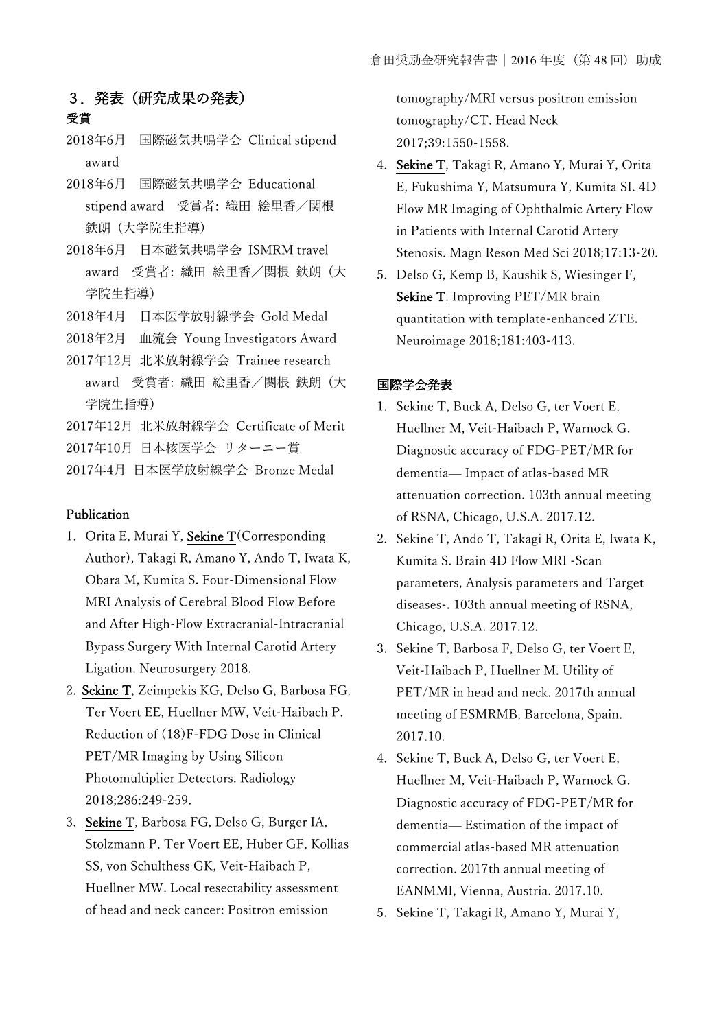## 3.発表(研究成果の発表) 受賞

- 2018年6月 国際磁気共鳴学会 Clinical stipend award
- 2018年6月 国際磁気共鳴学会 Educational stipend award 受賞者: 織田 絵里香/関根 鉄朗 (大学院生指導)
- 2018年6月 日本磁気共鳴学会 ISMRM travel award 受賞者: 織田 絵里香/関根 鉄朗 (大 学院生指導)
- 2018年4月 日本医学放射線学会 Gold Medal
- 2018年2月 血流会 Young Investigators Award
- 2017年12月 北米放射線学会 Trainee research
- award 受賞者: 織田 絵里香/関根 鉄朗 (大 学院生指導)
- 2017年12月 北米放射線学会 Certificate of Merit
- 2017年10月 日本核医学会 リターニー賞
- 2017年4月 日本医学放射線学会 Bronze Medal

### Publication

- 1. Orita E, Murai Y, Sekine T(Corresponding Author), Takagi R, Amano Y, Ando T, Iwata K, Obara M, Kumita S. Four-Dimensional Flow MRI Analysis of Cerebral Blood Flow Before and After High-Flow Extracranial-Intracranial Bypass Surgery With Internal Carotid Artery Ligation. Neurosurgery 2018.
- 2. Sekine T, Zeimpekis KG, Delso G, Barbosa FG, Ter Voert EE, Huellner MW, Veit-Haibach P. Reduction of (18)F-FDG Dose in Clinical PET/MR Imaging by Using Silicon Photomultiplier Detectors. Radiology 2018;286:249-259.
- 3. Sekine T, Barbosa FG, Delso G, Burger IA, Stolzmann P, Ter Voert EE, Huber GF, Kollias SS, von Schulthess GK, Veit-Haibach P, Huellner MW. Local resectability assessment of head and neck cancer: Positron emission

tomography/MRI versus positron emission tomography/CT. Head Neck 2017;39:1550-1558.

- 4. Sekine T, Takagi R, Amano Y, Murai Y, Orita E, Fukushima Y, Matsumura Y, Kumita SI. 4D Flow MR Imaging of Ophthalmic Artery Flow in Patients with Internal Carotid Artery Stenosis. Magn Reson Med Sci 2018;17:13-20.
- 5. Delso G, Kemp B, Kaushik S, Wiesinger F, Sekine T. Improving PET/MR brain quantitation with template-enhanced ZTE. Neuroimage 2018;181:403-413.

### 国際学会発表

- 1. Sekine T, Buck A, Delso G, ter Voert E, Huellner M, Veit-Haibach P, Warnock G. Diagnostic accuracy of FDG-PET/MR for dementia— Impact of atlas-based MR attenuation correction. 103th annual meeting of RSNA, Chicago, U.S.A. 2017.12.
- 2. Sekine T, Ando T, Takagi R, Orita E, Iwata K, Kumita S. Brain 4D Flow MRI -Scan parameters, Analysis parameters and Target diseases-. 103th annual meeting of RSNA, Chicago, U.S.A. 2017.12.
- 3. Sekine T, Barbosa F, Delso G, ter Voert E, Veit-Haibach P, Huellner M. Utility of PET/MR in head and neck. 2017th annual meeting of ESMRMB, Barcelona, Spain. 2017.10.
- 4. Sekine T, Buck A, Delso G, ter Voert E, Huellner M, Veit-Haibach P, Warnock G. Diagnostic accuracy of FDG-PET/MR for dementia— Estimation of the impact of commercial atlas-based MR attenuation correction. 2017th annual meeting of EANMMI, Vienna, Austria. 2017.10.
- 5. Sekine T, Takagi R, Amano Y, Murai Y,